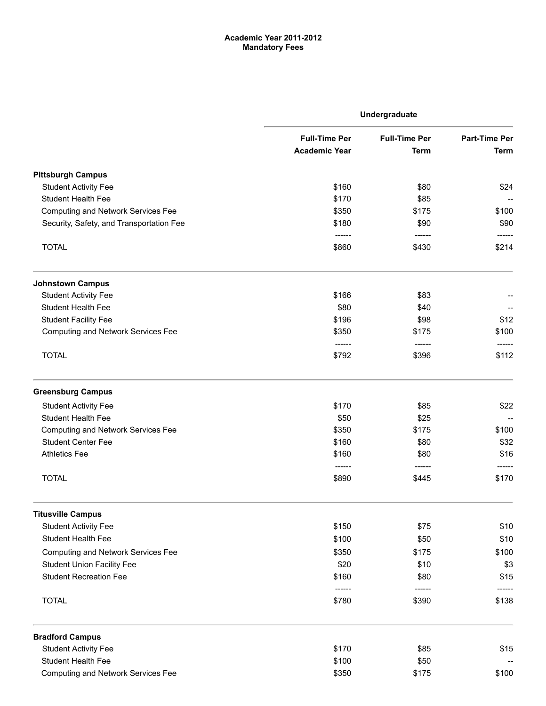# Academic Year 2011-2012 Mandatory Fees

|                                           | Undergraduate                                |                                     |                                     |  |
|-------------------------------------------|----------------------------------------------|-------------------------------------|-------------------------------------|--|
|                                           | <b>Full-Time Per</b><br><b>Academic Year</b> | <b>Full-Time Per</b><br><b>Term</b> | <b>Part-Time Per</b><br><b>Term</b> |  |
|                                           |                                              |                                     |                                     |  |
| <b>Pittsburgh Campus</b>                  |                                              |                                     |                                     |  |
| <b>Student Activity Fee</b>               | \$160                                        | \$80                                | \$24                                |  |
| <b>Student Health Fee</b>                 | \$170                                        | \$85                                |                                     |  |
| <b>Computing and Network Services Fee</b> | \$350                                        | \$175                               | \$100                               |  |
| Security, Safety, and Transportation Fee  | \$180                                        | \$90                                | \$90                                |  |
| <b>TOTAL</b>                              | -------<br>\$860                             | \$430                               | \$214                               |  |
| <b>Johnstown Campus</b>                   |                                              |                                     |                                     |  |
| <b>Student Activity Fee</b>               | \$166                                        | \$83                                |                                     |  |
| <b>Student Health Fee</b>                 | \$80                                         | \$40                                |                                     |  |
| <b>Student Facility Fee</b>               | \$196                                        | \$98                                | \$12                                |  |
| <b>Computing and Network Services Fee</b> | \$350<br>------                              | \$175<br>-------                    | \$100                               |  |
| <b>TOTAL</b>                              | \$792                                        | \$396                               | \$112                               |  |
| <b>Greensburg Campus</b>                  |                                              |                                     |                                     |  |
| <b>Student Activity Fee</b>               | \$170                                        | \$85                                | \$22                                |  |
| <b>Student Health Fee</b>                 | \$50                                         | \$25                                |                                     |  |
| <b>Computing and Network Services Fee</b> | \$350                                        | \$175                               | \$100                               |  |
| <b>Student Center Fee</b>                 | \$160                                        | \$80                                | \$32                                |  |
| <b>Athletics Fee</b>                      | \$160                                        | \$80                                | \$16                                |  |
| <b>TOTAL</b>                              | \$890                                        | \$445                               | \$170                               |  |
| <b>Titusville Campus</b>                  |                                              |                                     |                                     |  |
| <b>Student Activity Fee</b>               | \$150                                        | \$75                                | \$10                                |  |
| Student Health Fee                        | \$100                                        | \$50                                | \$10                                |  |
| <b>Computing and Network Services Fee</b> | \$350                                        | \$175                               | \$100                               |  |
| <b>Student Union Facility Fee</b>         | \$20                                         | \$10                                | \$3                                 |  |
| <b>Student Recreation Fee</b>             | \$160                                        | \$80                                | \$15                                |  |
| <b>TOTAL</b>                              | \$780                                        | \$390                               | \$138                               |  |
| <b>Bradford Campus</b>                    |                                              |                                     |                                     |  |
| <b>Student Activity Fee</b>               | \$170                                        | \$85                                | \$15                                |  |
| Student Health Fee                        | \$100                                        | \$50                                |                                     |  |
| <b>Computing and Network Services Fee</b> | \$350                                        | \$175                               | \$100                               |  |